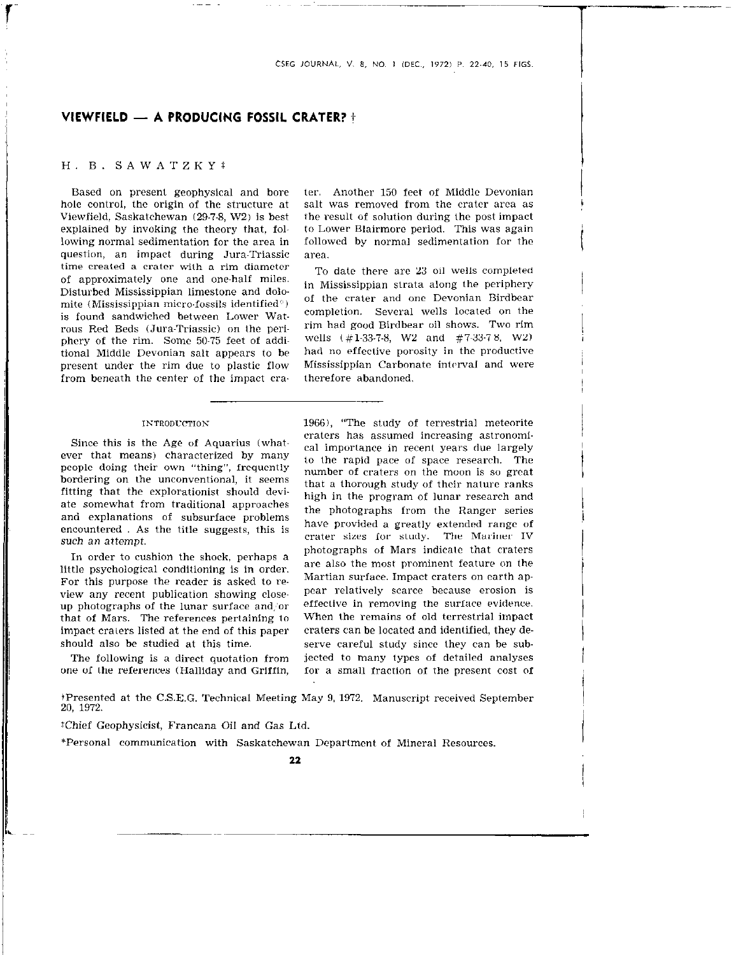# VIEWFIELD - A PRODUCING FOSSIL CRATER? it

## H. B. SAWATZKYT

Based on present geophysical and bore hole control, the origin of the structure at Viewfield, Saskatchewan (29-7-8, W2) is best explained by invoking the theory that, following normal sedimentation for the area in question, an impact during Jura-Triassic time created a crater wilh a rim diameter of approximately one and one-half miles. Disturbed Mississippian limestone and dolomite (Mississippian micro-fossils identified<sup>®</sup>) is found sandwiched between Lower Watrous Red Beds (Jura-Triassic) on the periphcry of the rim. Some 50-75 feet of additional Middle Devonian salt appears to be present under the rim due to plastic flow from beneath the center of the impact era.

### **INTRODUCTION**

Since this is the Age of Aquarius (whatever that means) characterized by many people doing their own "thing", frequently bordering on the unconventional, it seems fitting that the explorationist should deviate somewhat from traditional approaches and explanations of subsurface problems encountered . As the title suggests, this is such an attempt.

In order to cushion the shock, perhaps a little psychological conditioning is in order. For this purpose the reader is asked to review any recent publication showing closeup photographs of the lunar surface and or that of Mars. The references pertaining to impact craters listed at the end of this paper should also be studied at this time.

The following is a direct quotation from one of the references (Halliday and Griffin, ter. Another 150 feet of Middle Devonian salt was removed from the crater area as the result of solution during the post impact to Lower Blairmore period. This was again followed by normal sedimentation for the area.

y.

i

 $\overline{\phantom{a}}$ 

 $\begin{bmatrix} 1 \\ 1 \end{bmatrix}$ 

|<br>|<br>|<br>|<br>|

 $\vert$ 

 $\begin{bmatrix} 1 \\ 1 \end{bmatrix}$ 

1

 $\begin{bmatrix} \phantom{-} \end{bmatrix}$ 

To date there are 23 oil wells completed in Mississippian strata along the periphery of the craler and one Devonian Birdbear completion. Several wells located on the rim had goad Birdbear oil shows. Two rim wells (#l-33-7-8, W2 and #7~33-78. W2) had no effective porosity in the productive Mississippian Carbonate interval and were therefore abandoned.

1966), "The study of terrestrial meteorite craters has assumed increasing astronomical importance in recent years due largely to the rapid pace of space research. The number of craters on the moon is so great that a thorough study of their nalure ranks high in the program of lunar research and the photographs from the Ranger series have provided a greatly extended range of crater sizes for study. The Mariner IV photographs of Mars indicate that craters are also the most prominent feature on the Martian surface. Impact craters on earth appear relatively scarce because erosion is effective in removing the surface evidence. When the remains of old terrestrial impact craters can be located and identified, they deserve careful study since they can be subjected to many types of detailed analyses for a small fraction of the present cost of

iPresented at the C.S.E.G. Technical Meeting May 9, 1972. Manuscript received September 20, 1972.

\*Chief Geophysicist, Francana Oil and Gas Ltd.

\*Personal communication with Saskatchewan Department of Mineral Resources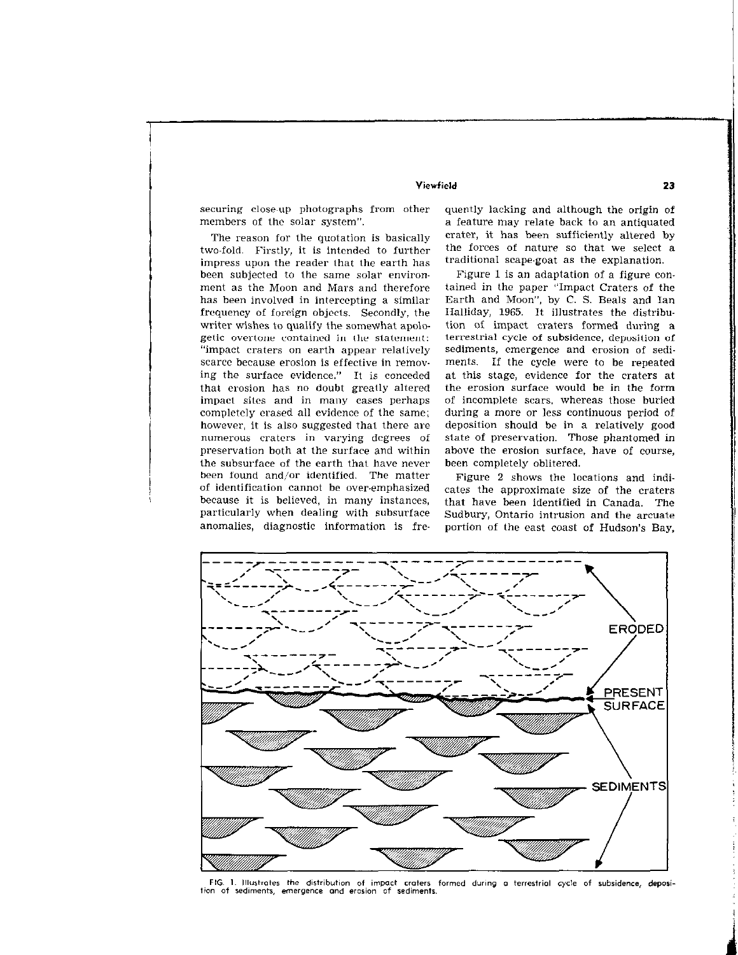impress upon the reader that the earth has traditional scape-goat as the explanation. been subjected to the same solar environ-<br>Figure 1 is an adaptation of a figure conment as the Moon and Mars and therefore tained in Ihe paper "Impact Craters of the has been involved in intercepting a similar Earth and Moon", by C. S. Beals and Ian frequency of foreign objects. Secondly, the Halliday, 1965. It illustrates the distribuwriter wishes to qualify the somewhat apolo- tion of impact craters formed during a getic overtone contained in the statement: terrestrial cycle of subsidence, deposition of "impact craters on earth appear relalively sediments, emergence and erosion of sediscarce because erosion is effective in remov- ments. If the cycle were to be repeated ing the surface evidence." It is conceded at this stage, evidence for the craters at thal erosion has no doubt greatly altered the erosion surface would be in the form impact sites and in many cases perhaps of incomplete scars, whereas those buried completely erased all evidence of the same; during a more or less continuous period of however, it is also suggested thal there are deposition should be in a relatively good numerous craters in varying degrees of slate of preservation. Those phantomed in preservation both at the surface and within above the erosion surface, have of course, the subsurface of the earth that have never been completely oblitered. been found and/or identified. The matter Figure 2 shows the locations and indi-

securing close~up photographs from other quently lacking and although the origin of members of the solar system". a feature may relate back to an antiquated The reason for the quotation is basically crater, it has been sufficiently altered by two-fold. Firstly, it is intended to further the forces of nature so that we select a

of identification cannot be over-emphasized cates the approximate size of the craters because it is believed, in many instances, that have been identified in Canada. The particularly when dealing with subsurface Sudbury, Ontario intrusion and the arcuate anomalies, diagnostic information is fre- portion of the east coast of Hudson's Bay,



FIG. 1. Illustrates the distribution of impact craters formed during a terrestrial cycle of subsidence, deposition of sediments, emergence and erosion of sediments.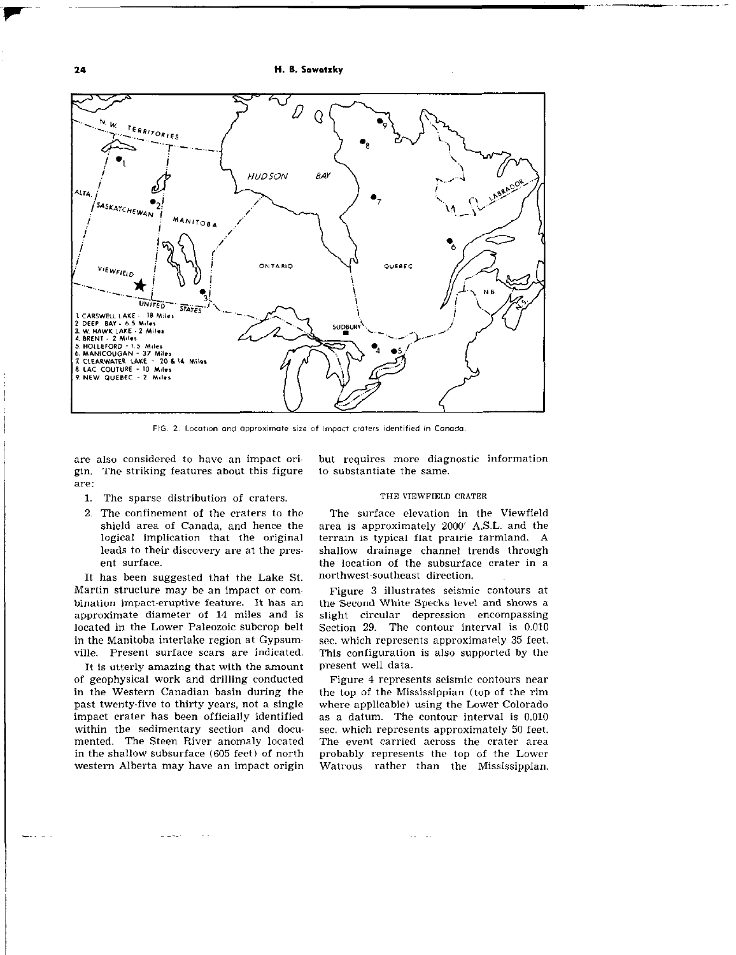H. B. Sowatzky



FIG. 2. Location and approximate size of impact craters identified in Canada.

are also considered to have an impact origin. The striking features about this figure are:

- 1. The sparse distribution of craters.
- 2. The confinement of the craters to the shield area of Canada, and hence the logical implication that the original leads to their discovery are at the present surface.

It has been suggested that the Lake St. Martin structure may be an impact or combination impact-eruptive feature. It has an approximate diameter of 14 miles and is located in the Lower Paleozoic subcrop belt in the Manitoba interlake region at Gypsumville. Present surface scars are indicated.

It is utterly amazing that with the amount of geophysical work and drilling conducted in the Western Canadian basin during the past twenty-five to thirty years, not a single impact crater has been officially identified within the sedimentary section and documented. The Steen River anomaly located in the shallow subsurface (605 feet) of north western Alberta may have an impact origin but requires more diagnostic information to substantiate the same.

#### THE VIEWFIELD CRATER

The surface elevation in the Viewfield area is approximately 2000' A.S.L. and the terrain is typical flat prairie farmland. A shallow drainage channel trends through the location of the subsurface crater in a northwest-southeast direction.

Figure 3 illustrates seismic contours at the Second White Specks level and shows a slight circular depression encompassing Section 29. The contour interval is 0.010 sec. which represents approximately 35 feet. This configuration is also supported by the present well data.

Figure 4 represents seismic contours near the top of the Mississippian (top of the rim where applicable) using the Lower Colorado as a datum. The contour interval is 0.010 sec. which represents approximately 50 feet. The event carried across the crater area probably represents the top of the Lower Watrous rather than the Mississippian.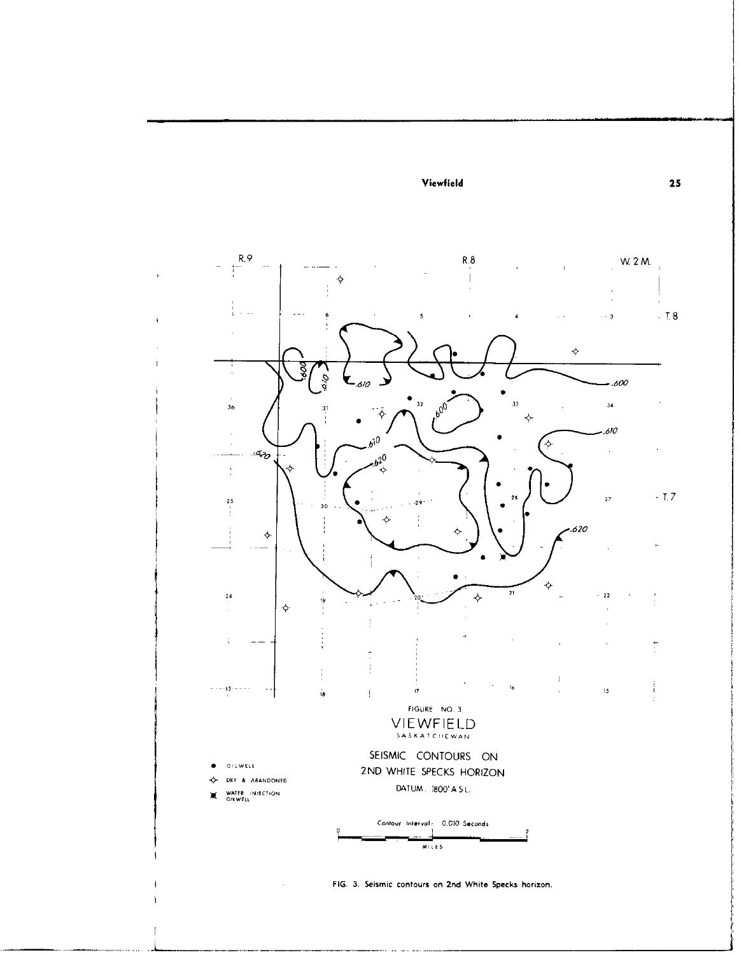

FIG. 3. Seismic contours on 2nd White Specks horizon.

 $\mathcal{L}$ 

 $25\,$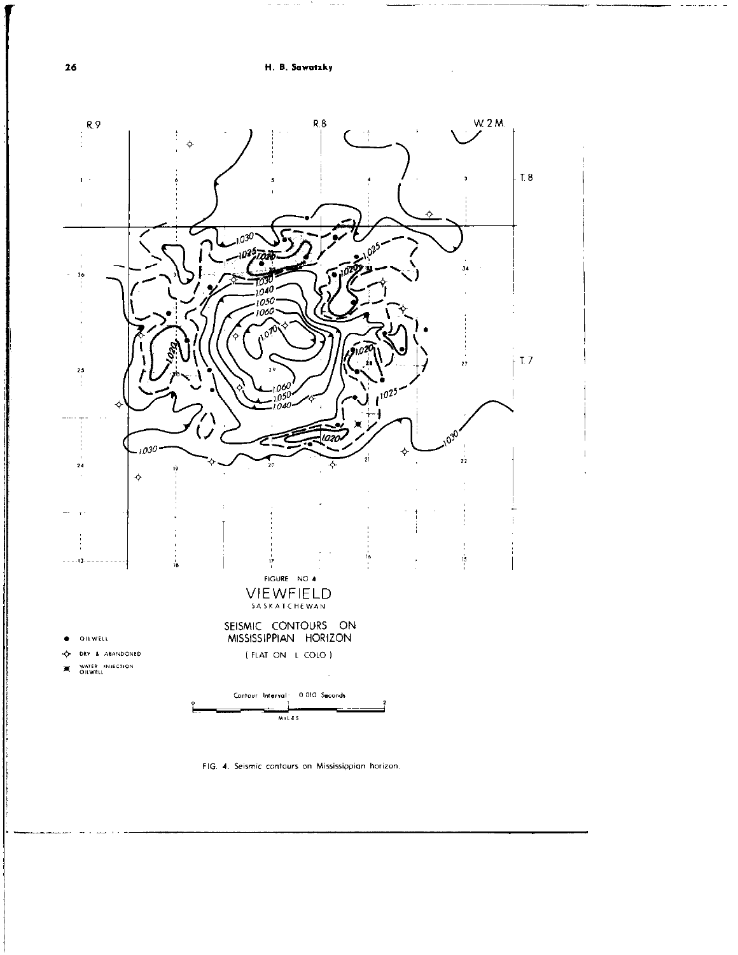والمسارين الأراد المتماسين



FIG. 4. Seismic contours on Mississippian horizon.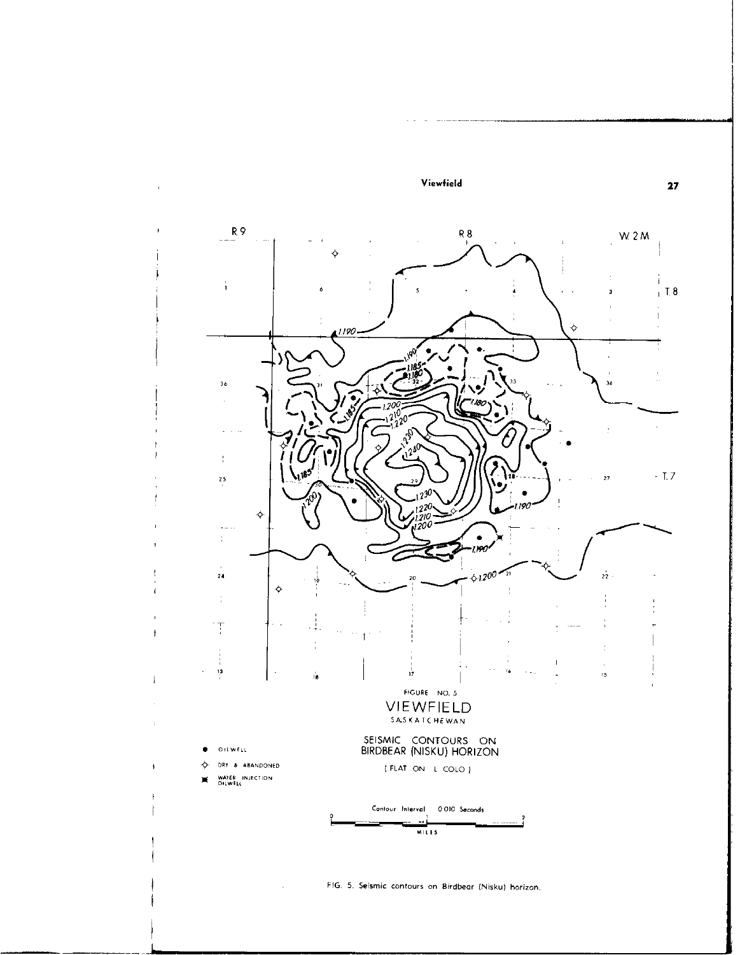

FIG. 5. Seismic contours on Birdbear (Nisku) horizon.

J.

 $\mathbf{27}$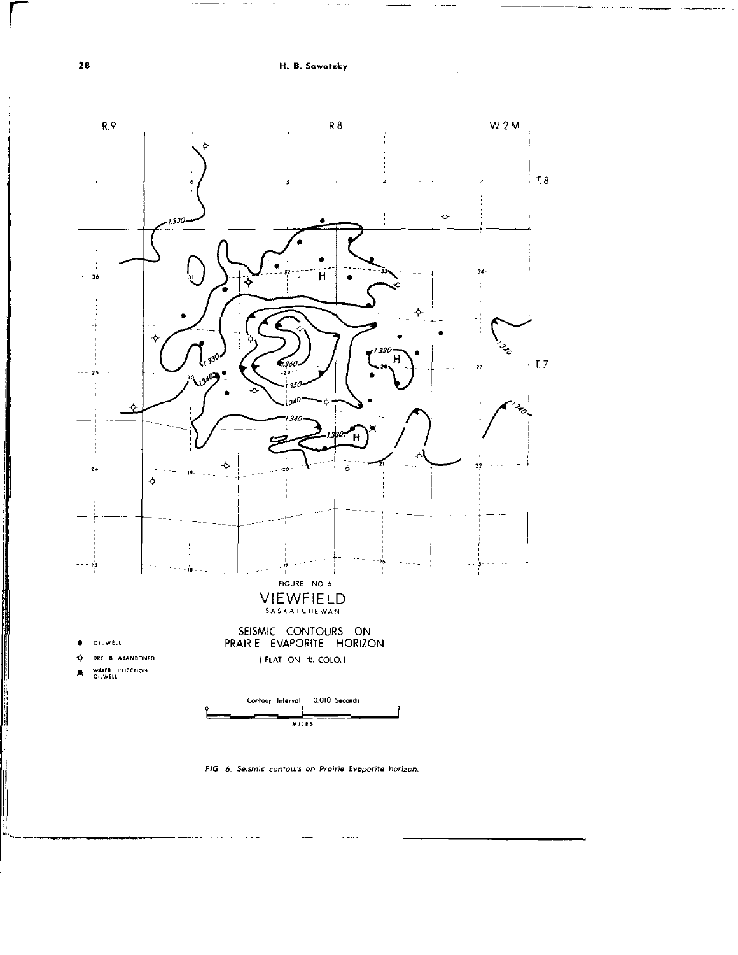H. B. Sawatzky



FIG. 6. Seismic contours on Prairie Evaporite horizon.

28

**The Community of State Property of the Community**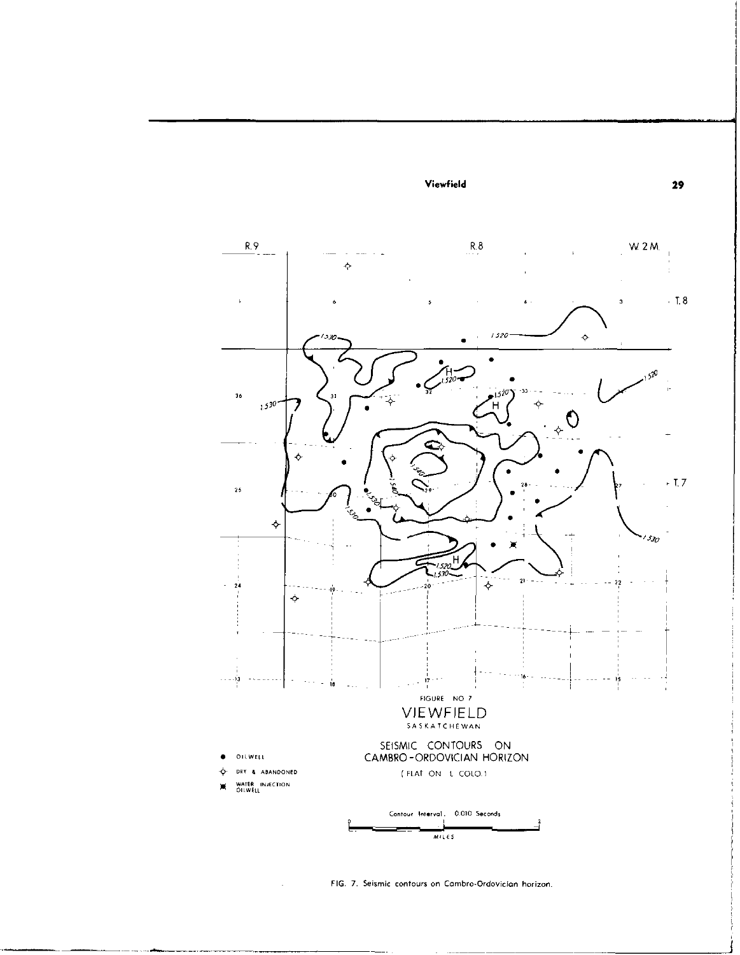

FIG. 7. Seismic contours on Cambro-Ordovician horizon.

 $\mathcal{L}$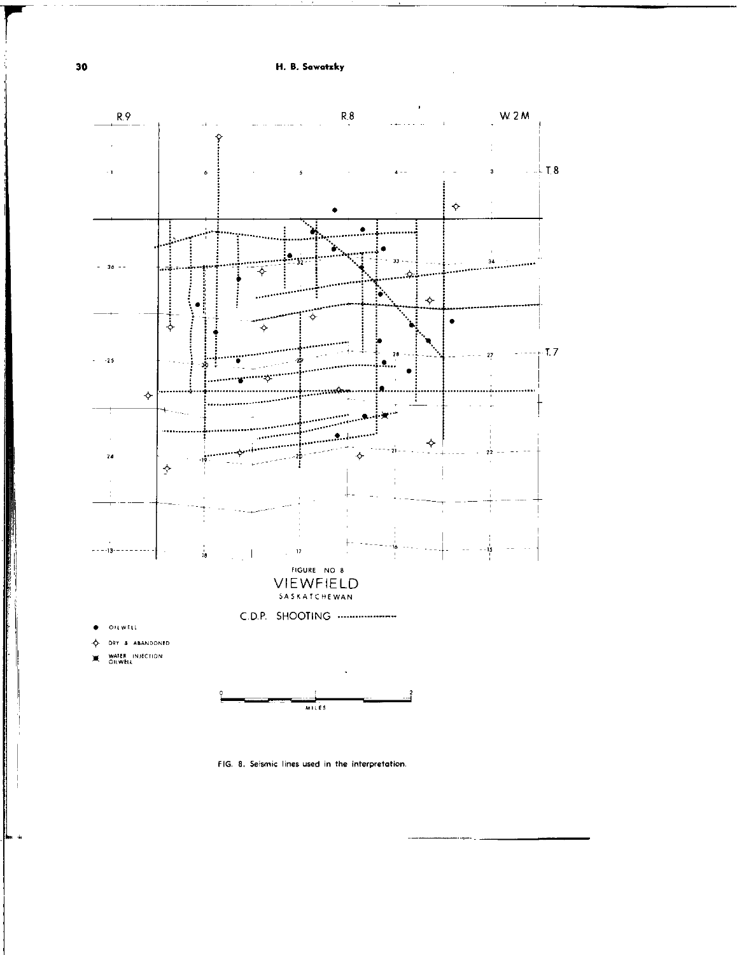H. B. Sawatzky



FIG. 8. Seismic lines used in the interpretation.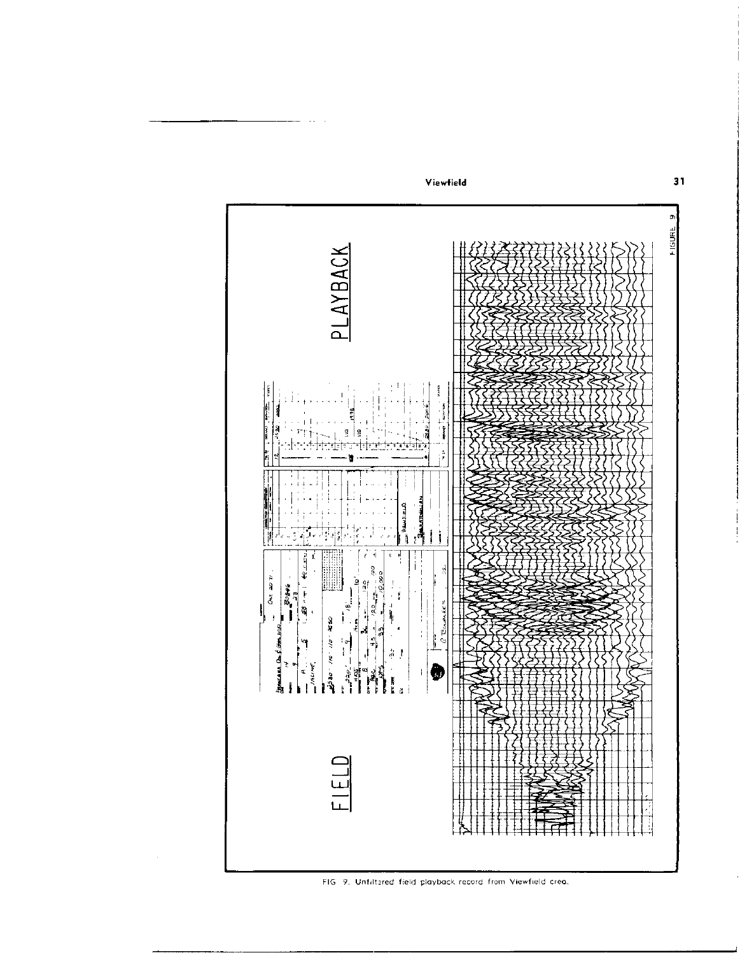

 $\sim$ 

FIG 9. Unfiltered field playback record from Viewfield area.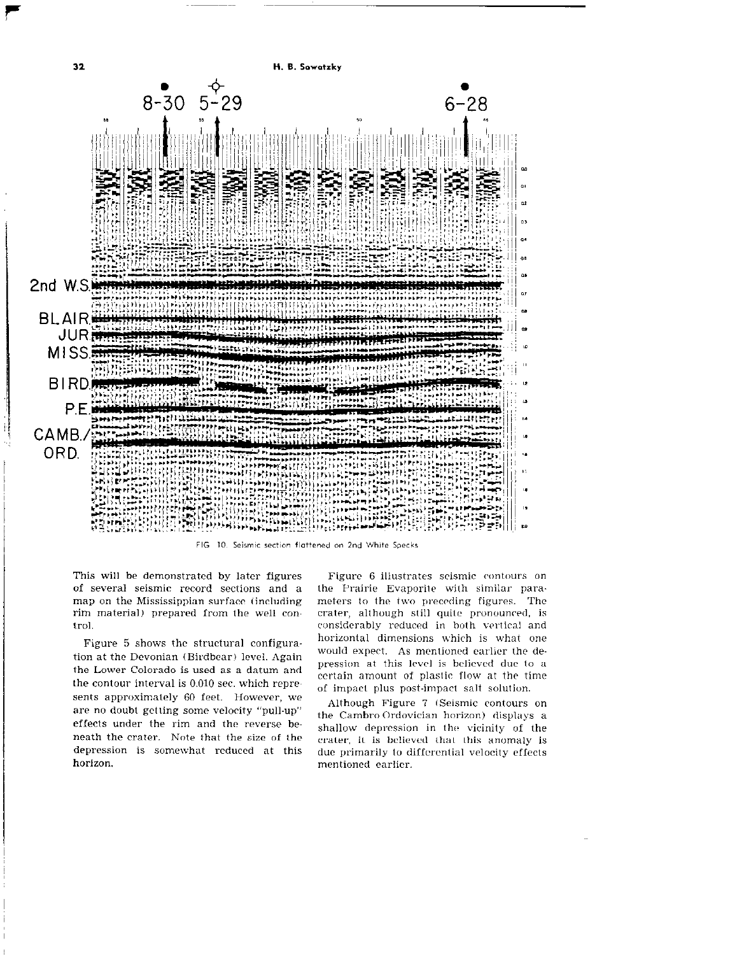

FIG 10. Seismic section flattened on 2nd White Specks

of several seismic record sections and a the Prairie Evaporite with similar paramap on the Mississippian surface (including meters to the two preceding figures. The rim material) prepared from the well con- crater, although still quite pronounced, is tro1. considerably reduced in both vertical and

tion at the Devonian (Birdbear) level. Again would expect. As mentioned earlier the detion at the Devolution (Dirubear) level. Again<br>the Lower Colorado is used as a datum and pression at this level is believed due to a the contour interval is  $0.010$  sec. which represents approximately 60 feet. However, we sents approximately 60 feet. However, we although Figure 7 (Seismic contours on are no doubt getting some velocity "pull-up" Although Figure 7 (Seismic contours on effects under the rim and the reverse beneath the crater. Note that the size of the depression is somewhat reduced at this due primarily to differential velocity effects horizon. mentioned earlier.

This will be demonstrated by later figures Figure 6 illustrates seismic contours on Figure 5 shows the structural configura- horizontal dimensions which is what one certain amount of plastic flow at the time of impact plus post-impact salt solution.

> the Cambro Ordovician horizon) displays a shallow depression in the vicinity- of the crater, it is believed that this anomaly is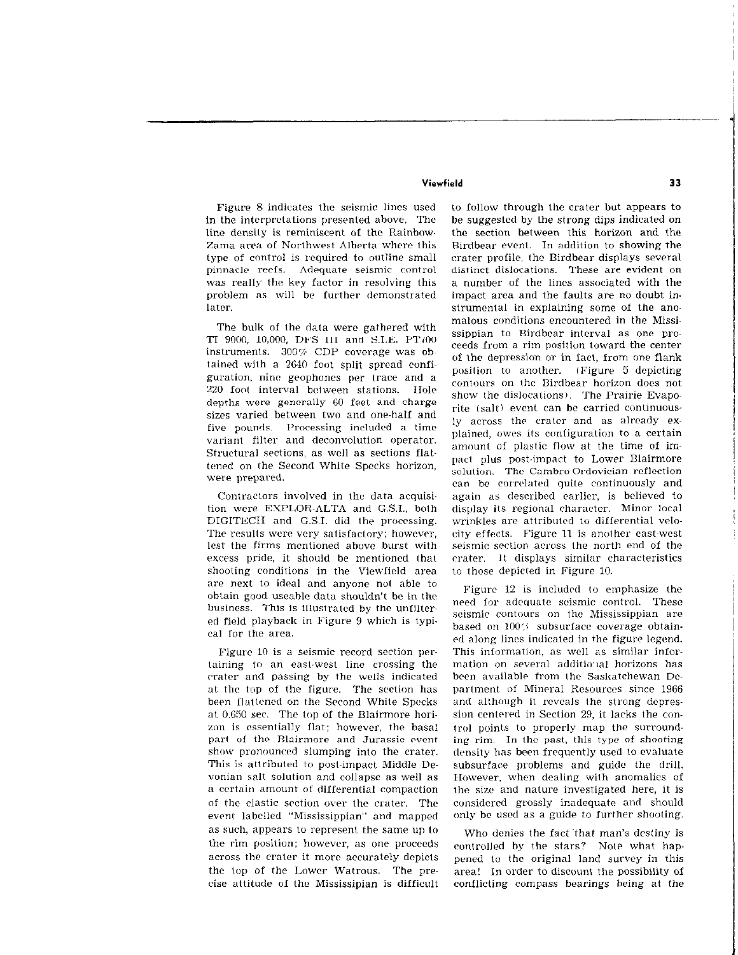Figure 8 indicates the seismic lines used in the interpretations presented above. The line density is reminiscent of the Rainbow-Zama area 01 Norlhwest Alberta where this type of control is required to outline small pinnacle reels. Adequate seismic control was really the key factor in resolving this problem as will be further demonstrated 1atcr.

The bulk of the data were gathered with TI 9000, 10,000, DFS III and S.I.E. PT700 instruments. 300% CDP coverage was obtained with a Z&40 foot split spread configuration, nine geophoncs per trace and a 220 foot interval between stations. Hole depths were generally 60 feet and charge sizes varied between two and one-half and five pounds. Processing included a time variant filter and deconvolution operator. Structural sections, as well as sections flattened on the Second White Specks horizon, were prepared.

Contractors involved in the data acquisition were EYFLOR~ALTA and G.S.I., both DIGITECII and G.S.I. did the processing. The results were very satisfactory; however, lest the firms mentioned above burst with excess pride. it should be mentioned that shooting conditions in the Viewlicld area are next to ideal and anyone not able to obtain good useable data shouldn't be in the business. This is illustrated by the unfiltered field playback in Figure 9 which is typical for the area.

Figure 10 is a seismic record section pertaining to an east-west line crossing the crater and passing by the wells indicated at the top of the figure. The scclion has been flattened on the Second White Specks at 0.650 sec. The top of the Blairmore horizon is essentially flat; however, the basal part of the Blairmore and Jurassic event show pronounced slumping into the crater. This is attributed to post-impact Middle Devonian salt solution and collapse as well as a certain amount of differential compaction of the clastic section over the crater. The event\_labelled "Mississippian" and mapped as such, appears to represent the same up to the rim position; however, as one proceeds across the crater it more accurately depicts the top of the Lower Watrous. The precise attitude of the Mississipian is difficult

to follow through the crater but appears to be suggested by the strong dips indicated on the section between this horizon and the Rirdbenr event. In addition to showing the crater profile, the Birdbear displays several distinct dislocations. These are evident on a number of the lines associated with the impact area and the faults are no doubt instrumenlal in explaining some of the anomalous conditions encountered in the Mississippian to Birdbear interval as one proceeds from a rim position toward the center of the depression or in fact, from one flank position to another. (Figure 5 depicting contours on the Birdbear horizon does not show the dislocations). The Prairie Evaporite (salt) event can be carried continuously across the crater and as already explained, owes its configuration to a certain amount of plastic flow at the time of impact plus post-impact to Lower Blairmore solution. The Cambro Ordovician reflection can be correlated quite continuously and again as described enrlicr, is believed to display its regional character. Minor local wrinkles are attributed to differential velocity effects. Figure 11 is another east-west seismic section across the north end of the crater. It displays similar characteristics to those depicted in Figure 10.

Figure 12 is included to emphasize the need for adequate seismic control. These seismic contours on the Mississippian are based on 100% subsurface coverage obtain-4 along lines indicated in the figure legend. This information, as well as similar information on several additional horizons has been available from (he Saskatchewan De partment of Mineral Resources since 1966 and although it reveals the strong depression centered in Section 29, it lacks the control points to properly map the surrounding rim. In the past, (his type of shooting density has been frequently used to evaluate subsurface problems and guide the drill. However, when dealing with anomalies of the size and nature investigated here, it is considered grossly inadequate and should only be used as a guide to further shooting.

Who denies the fact that man's destiny is controlled by the stars? Note what happened to the original land survey in this area! In order to discount the possibility of conflicting compass bearings being at the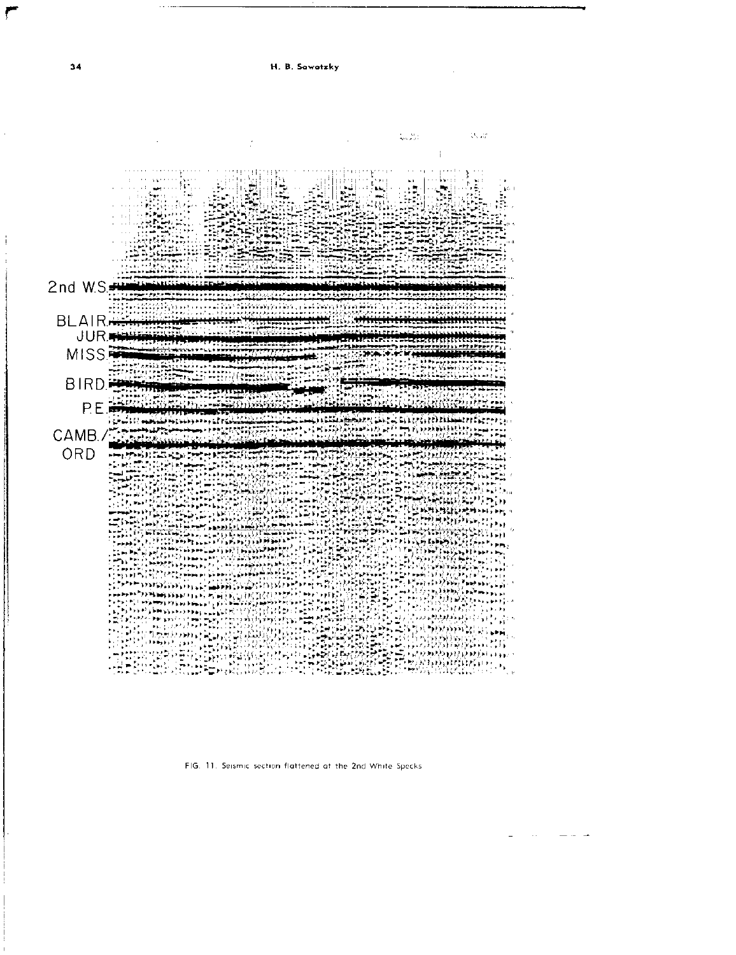



FIG. 11. Seismic section flattened at the 2nd White Specks.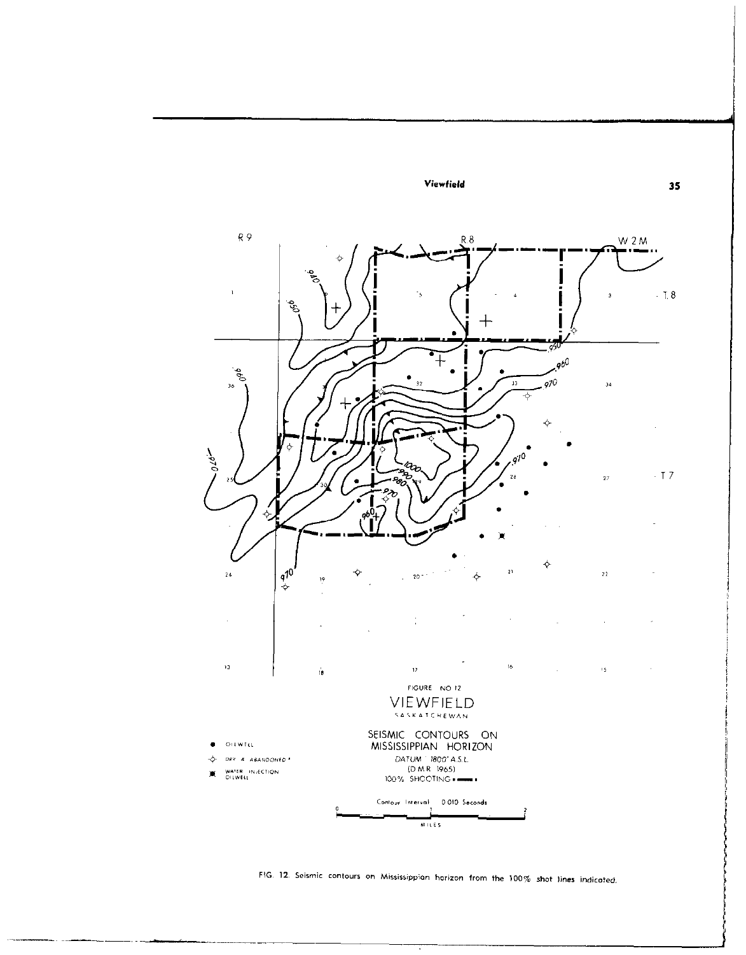

FIG. 12. Seismic contours on Mississippian horizon from the 100% shot lines indicated.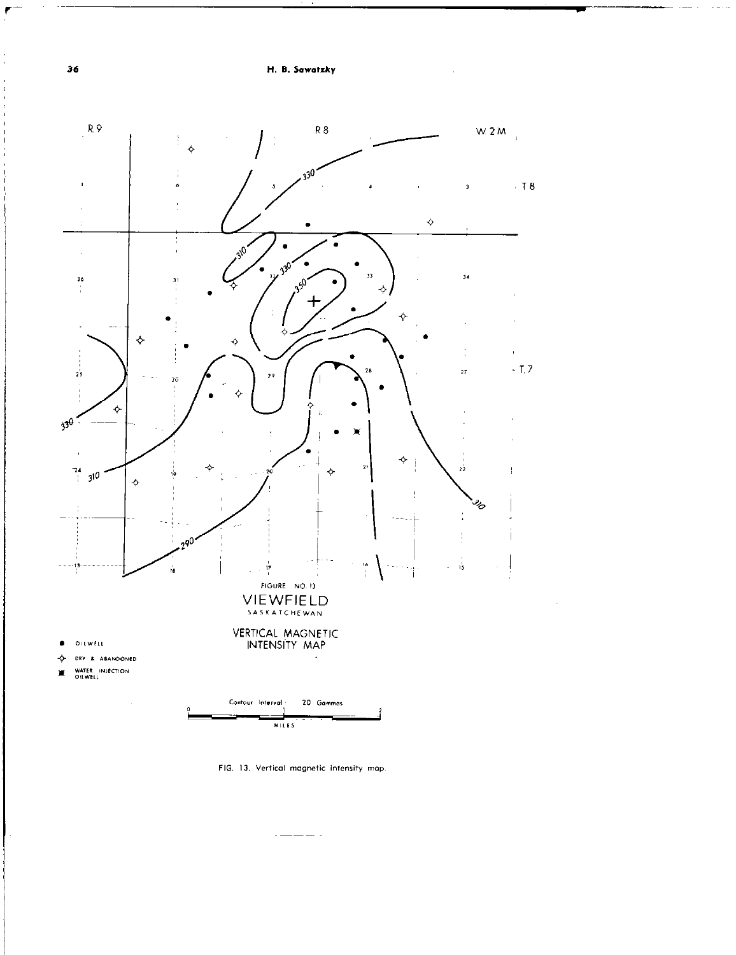

FIG. 13. Vertical magnetic intensity map.

 $\overline{a}$  and  $\overline{a}$  and  $\overline{a}$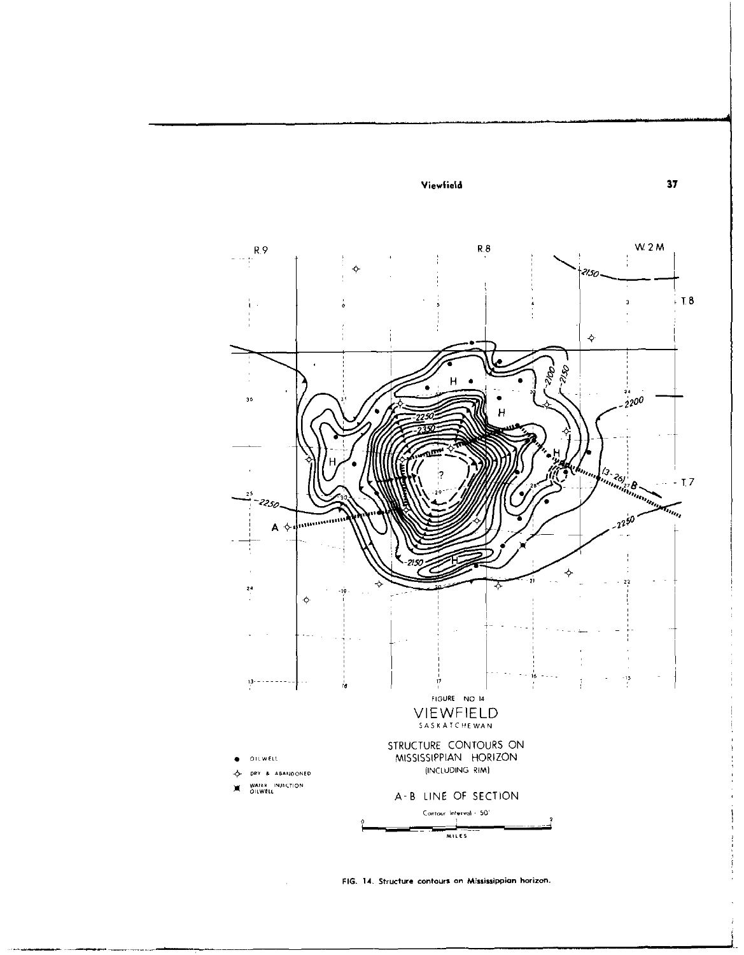

FIG. 14. Structure contours on Mississippian horizon.

 $\bar{\phantom{a}}$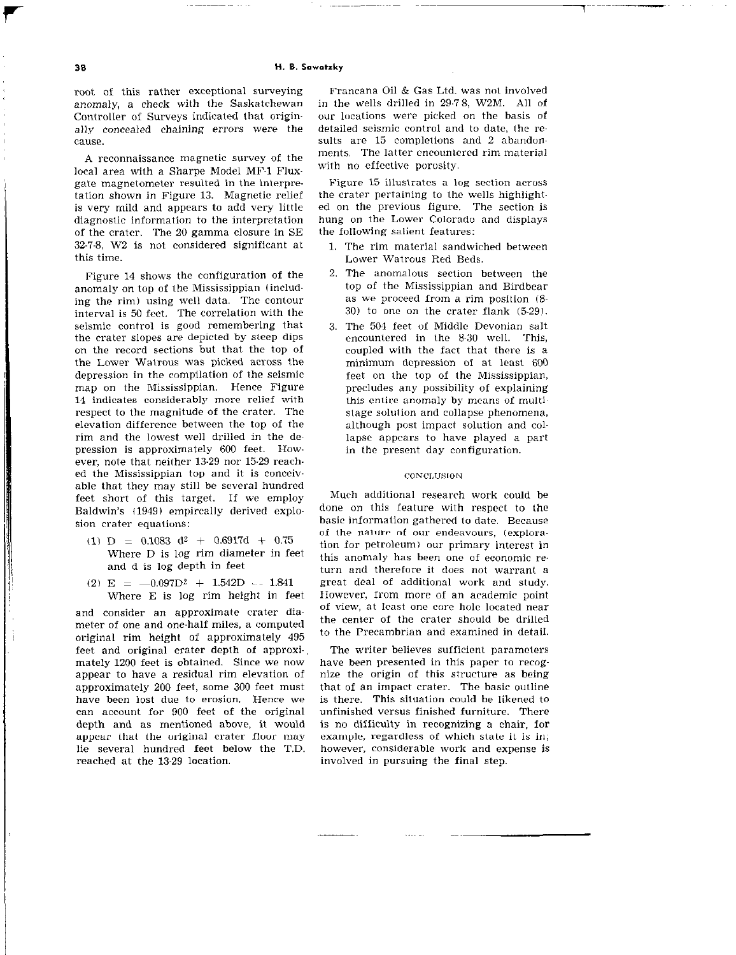root of this rather exceptional surveying anomaly, a check with the Saskatchewan Controller of Surveys indicated that originaily concealed chaining errors were the cause.

A reconnaissance magnetic survey of the local area with a Sharpe Model MF-1 Fluxgate magnetometer resulted in the interpretation shown in Figure 13. Magnetic relief is very mild and appears to add very little diagnostic information to the interpretation of the crater. The 20 gamma closure in SE 32-7-8, W2 is not considered significant at this time.

Figure 14 shows the configuration of the anomaly on top of the Mississippian (including the rim) using well data. The contour interval is 50 feet. The correlation with the seismic control is good remembering that the crater slopes are depicted by sleep dips on the record sections but that the top of the Lower Walrous was picked across the depression in the compilation of the seismic map on the Mississippian. Hence Figure 14 indicates considerably more relief with respect to the magnitude of the crater. The elevation difference between the top of the rim and the lowest well drilled in the depression is approximately 600 feet. However, note that neither 13-29 nor 15-29 reached the Mississippian top and it is conccivable that they may still be several hundred feet short of this target. If we employ Baldwin's (1949) empircally derived explosion crater equations:

- (1) D = 0.1083 d<sup>2</sup> + 0.6917d + 0.75 Where D is log rim diameter in feet and d is log depth in feet
- (2)  $E = -0.097D^2 + 1.542D 1.841$ Where E is log rim height in feet

and consider an approximate crater diameter of one and one-half miles, a computed original rim height of approximately 495 feet and original crater depth of approximately 1200 feet is obtained. Since we now appear to have a residual rim elevation of approximately 200 feet, some 300 feet must have been lost due to erosion. Hence we can account for 900 feet of the original depth and as mentioned above, it would appear that the original crater floor may lie several hundred feet below the T.D. reached at the 13.29 location.

Francana Oil & Gas Ltd. was not involved in the wells drilled in 29-78, W2M. All of our Incations were picked on the basis of detailed seismic control and to date, the results are 15 completions and 2 abandonments. The latter encounlercd rim material with no effective porosity.

l~~--~~

Figure 15 illuslratcs a log section across the crater pertaining to the wells highlighted on the previous figure. The section is hung on the Lower Colorado and displays the following salient features:

- 1. The rim material sandwiched between Lower Watrous Red Beds.
- 2. The anomalous section between the top of the Mississippian and Birdbear as we proceed from a rim position (8-30) to one on the crater flank (5.29).
- 3. The 504 feet of Middle Devonian salt encountered in the 8~30 well. This, coupled with the fact that there is a minimum depression of at leasl 600 feet on Ihe top of the Mississippian, precludes any possibility of explaining this entire anomaly by means of multistage solution and collapse phenomena, although post impact solution and collapse appears to have played a part in the present day configuration.

#### CONCLUSION

Much additional research work could be done on this feature with respect to the basic information gathered to date. Because of the nature of our endeavours, (exploration for petroleum) our primary interest in this anomaly has been one of economic return and therefore it does not warrant a great deal of additional work and study. IIuwever, from more of an academic point of view, at least one core hole located near the center of the crater should be drilled to the Precambrian and examined in detail.

The writer believes sufficient paramclers have been presented in this paper to recognize the origin of this structure as being that of an impact crater. The basic outline is there. This situation could be likened to unfinished versus finished furniture. There is no difficulty in recognizing a chair, for example, regardless of which state it is in; however, considerable work and expense is involved in pursuing the final step.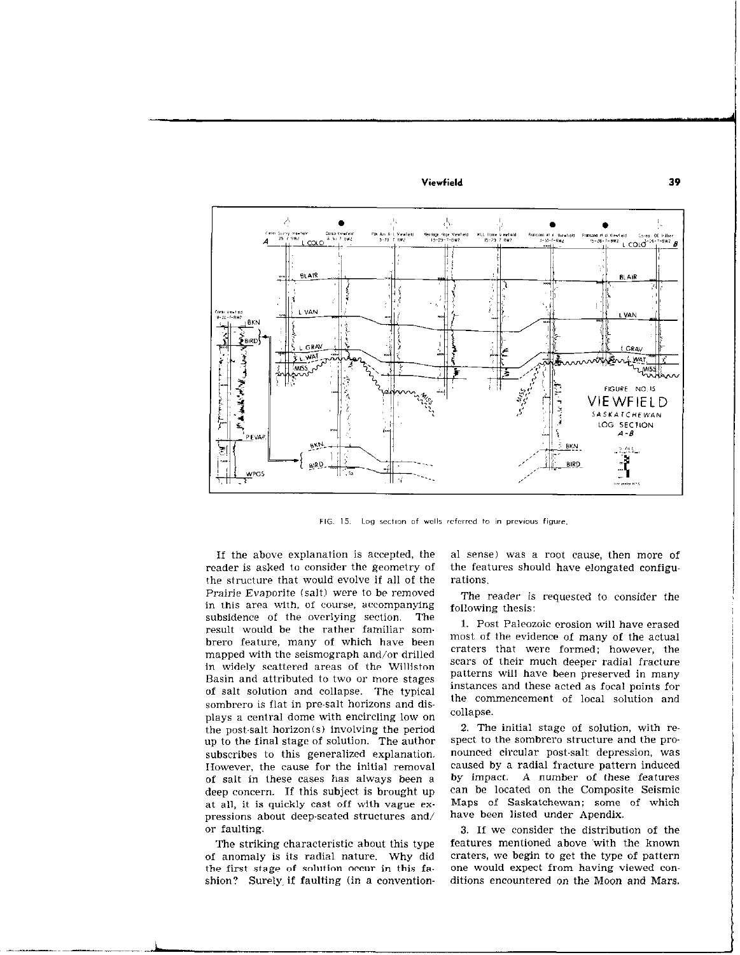

FIG. 15. Log section of wells referred to in previous figure.

If the above explanation is accepted, the reader is asked to consider the geometry of the structure that would evolve if all of the Prairie Evaporite (salt) were to be removed in this area with, of course, accompanying subsidence of the overlying section. The result would be the rather familiar sombrero feature, many of which have been mapped with the seismograph and/or drilled in widely scattered areas of the Williston Basin and attributed to two or more stages of salt solution and collapse. The typical sombrero is flat in pre-salt horizons and displays a central dome with encircling low on the post-salt horizon(s) involving the periad up to the final stage of solution. The author subscribes to this generalized explanation. IIowever, the cause for the initial remaval of salt in these cases has always been a deep concern. If this subject is brought up at all, it is quickly cast off with vague expressions about deep-seated structures and/ or faulting.

The striking characteristic about this type of anomaly is its radial nature. Why did the first stage of solution occur in this fashion? Surely, if faulting (in a conventional sense) was a root cause, then more of the features should have elongated configurations.

The reader is requested to consider the following thesis:

1. Post Paleozoic erosion will have erased most of the evidence of many of the actual craters that were formed; however, the scars of their much deeper radial fracture patterns will have been preserved in many instances and these acted as focal points for the commencement of local solution and collapse.

2. The initial stage of solution, with respect to the sombrero structure and the pronounced circular post-salt depression. was caused by a radial fracture pattern induced by impact. A number of these features can be located on the Composite Seismic Maps of Saskatchewan; some of which have been listed under Apendix.

3. If we consider the distribution of the features mentioned above 'with the known craters, we begin to get the type of pattern one would expect from having viewed conditions encountered on the Moon and Mars.

J